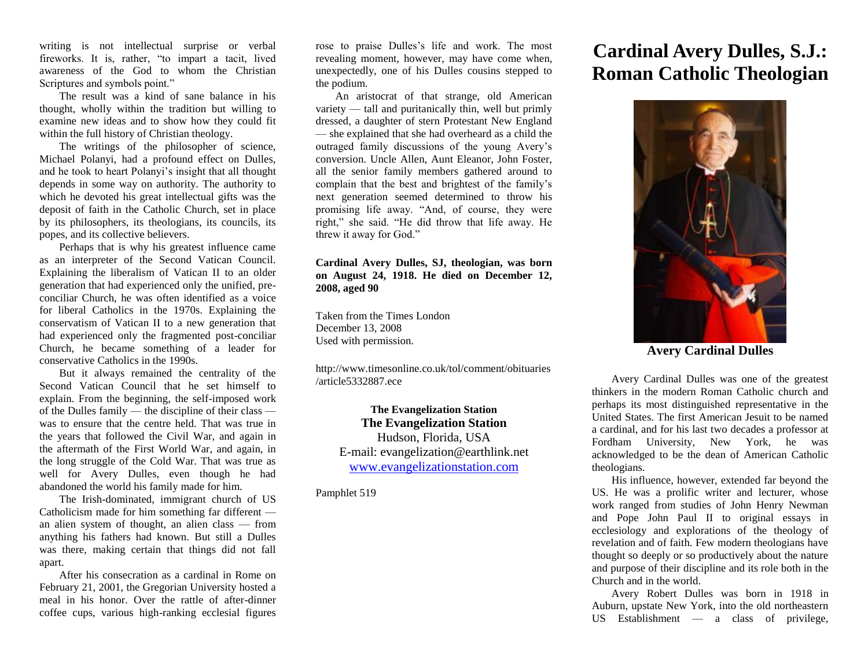writing is not intellectual surprise or verbal fireworks. It is, rather, "to impart a tacit, lived awareness of the God to whom the Christian Scriptures and symbols point."

The result was a kind of sane balance in his thought, wholly within the tradition but willing to examine new ideas and to show how they could fit within the full history of Christian theology.

The writings of the philosopher of science, Michael Polanyi, had a profound effect on Dulles, and he took to heart Polanyi's insight that all thought depends in some way on authority. The authority to which he devoted his great intellectual gifts was the deposit of faith in the Catholic Church, set in place by its philosophers, its theologians, its councils, its popes, and its collective believers.

Perhaps that is why his greatest influence came as an interpreter of the Second Vatican Council. Explaining the liberalism of Vatican II to an older generation that had experienced only the unified, preconciliar Church, he was often identified as a voice for liberal Catholics in the 1970s. Explaining the conservatism of Vatican II to a new generation that had experienced only the fragmented post-conciliar Church, he became something of a leader for conservative Catholics in the 1990s.

But it always remained the centrality of the Second Vatican Council that he set himself to explain. From the beginning, the self-imposed work of the Dulles family — the discipline of their class was to ensure that the centre held. That was true in the years that followed the Civil War, and again in the aftermath of the First World War, and again, in the long struggle of the Cold War. That was true as well for Avery Dulles, even though he had abandoned the world his family made for him.

The Irish-dominated, immigrant church of US Catholicism made for him something far different an alien system of thought, an alien class — from anything his fathers had known. But still a Dulles was there, making certain that things did not fall apart.

After his consecration as a cardinal in Rome on February 21, 2001, the Gregorian University hosted a meal in his honor. Over the rattle of after-dinner coffee cups, various high-ranking ecclesial figures

rose to praise Dulles's life and work. The most revealing moment, however, may have come when, unexpectedly, one of his Dulles cousins stepped to the podium.

An aristocrat of that strange, old American variety — tall and puritanically thin, well but primly dressed, a daughter of stern Protestant New England — she explained that she had overheard as a child the outraged family discussions of the young Avery's conversion. Uncle Allen, Aunt Eleanor, John Foster, all the senior family members gathered around to complain that the best and brightest of the family's next generation seemed determined to throw his promising life away. "And, of course, they were right," she said. "He did throw that life away. He threw it away for God."

## **Cardinal Avery Dulles, SJ, theologian, was born on August 24, 1918. He died on December 12, 2008, aged 90**

Taken from the Times London December 13, 2008 Used with permission.

http://www.timesonline.co.uk/tol/comment/obituaries /article5332887.ece

**The Evangelization Station The Evangelization Station** Hudson, Florida, USA E-mail: evangelization@earthlink.net [www.evangelizationstation.com](http://www.pjpiisoe.org/)

Pamphlet 519

## **Cardinal Avery Dulles, S.J.: Roman Catholic Theologian**



**Avery Cardinal Dulles**

Avery Cardinal Dulles was one of the greatest thinkers in the modern Roman Catholic church and perhaps its most distinguished representative in the United States. The first American Jesuit to be named a cardinal, and for his last two decades a professor at Fordham University, New York, he was acknowledged to be the dean of American Catholic theologians.

His influence, however, extended far beyond the US. He was a prolific writer and lecturer, whose work ranged from studies of John Henry Newman and Pope John Paul II to original essays in ecclesiology and explorations of the theology of revelation and of faith. Few modern theologians have thought so deeply or so productively about the nature and purpose of their discipline and its role both in the Church and in the world.

Avery Robert Dulles was born in 1918 in Auburn, upstate New York, into the old northeastern US Establishment — a class of privilege,